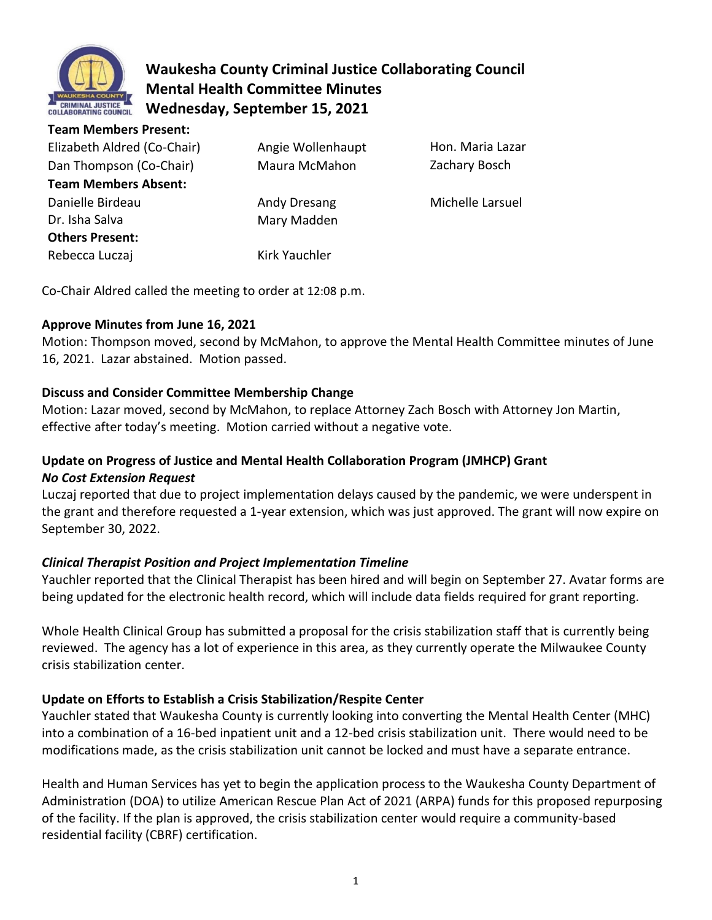

# **Waukesha County Criminal Justice Collaborating Council Mental Health Committee Minutes Wednesday, September 15, 2021**

| <b>Team Members Present:</b> |                   |                  |
|------------------------------|-------------------|------------------|
| Elizabeth Aldred (Co-Chair)  | Angie Wollenhaupt | Hon. Maria Lazar |
| Dan Thompson (Co-Chair)      | Maura McMahon     | Zachary Bosch    |
| <b>Team Members Absent:</b>  |                   |                  |
| Danielle Birdeau             | Andy Dresang      | Michelle Larsuel |
| Dr. Isha Salva               | Mary Madden       |                  |
| <b>Others Present:</b>       |                   |                  |
| Rebecca Luczaj               | Kirk Yauchler     |                  |

Co-Chair Aldred called the meeting to order at 12:08 p.m.

## **Approve Minutes from June 16, 2021**

Motion: Thompson moved, second by McMahon, to approve the Mental Health Committee minutes of June 16, 2021. Lazar abstained. Motion passed.

## **Discuss and Consider Committee Membership Change**

Motion: Lazar moved, second by McMahon, to replace Attorney Zach Bosch with Attorney Jon Martin, effective after today's meeting. Motion carried without a negative vote.

## **Update on Progress of Justice and Mental Health Collaboration Program (JMHCP) Grant** *No Cost Extension Request*

Luczaj reported that due to project implementation delays caused by the pandemic, we were underspent in the grant and therefore requested a 1-year extension, which was just approved. The grant will now expire on September 30, 2022.

## *Clinical Therapist Position and Project Implementation Timeline*

Yauchler reported that the Clinical Therapist has been hired and will begin on September 27. Avatar forms are being updated for the electronic health record, which will include data fields required for grant reporting.

Whole Health Clinical Group has submitted a proposal for the crisis stabilization staff that is currently being reviewed. The agency has a lot of experience in this area, as they currently operate the Milwaukee County crisis stabilization center.

## **Update on Efforts to Establish a Crisis Stabilization/Respite Center**

Yauchler stated that Waukesha County is currently looking into converting the Mental Health Center (MHC) into a combination of a 16-bed inpatient unit and a 12-bed crisis stabilization unit. There would need to be modifications made, as the crisis stabilization unit cannot be locked and must have a separate entrance.

Health and Human Services has yet to begin the application process to the Waukesha County Department of Administration (DOA) to utilize American Rescue Plan Act of 2021 (ARPA) funds for this proposed repurposing of the facility. If the plan is approved, the crisis stabilization center would require a community-based residential facility (CBRF) certification.